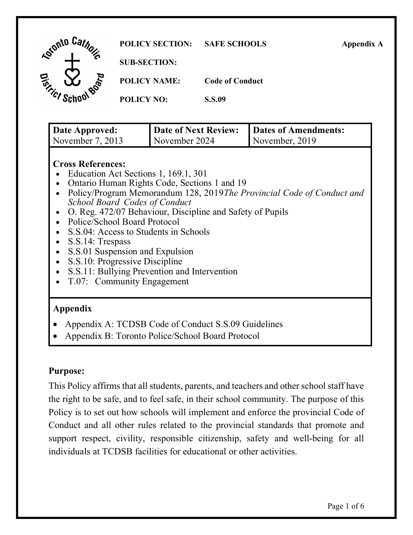| <b>Lotonto Car.</b>                                             | <b>POLICY SECTION:</b> | <b>SAFE SCHOOLS</b>    | <b>Appendix A</b> |
|-----------------------------------------------------------------|------------------------|------------------------|-------------------|
| ъ                                                               | <b>SUB-SECTION:</b>    |                        |                   |
| <b>D<sub>10</sub></b><br>$\sigma_{r_{f_{i_{c_{\varepsilon}}}}}$ | <b>POLICY NAME:</b>    | <b>Code of Conduct</b> |                   |
|                                                                 | <b>POLICY NO:</b>      | <b>S.S.09</b>          |                   |
|                                                                 |                        |                        |                   |

| Date Approved:   | Date of Next Review: | Dates of Amendments: |
|------------------|----------------------|----------------------|
| November 7, 2013 | November 2024        | November, 2019       |

#### **Cross References:**

- Education Act Sections 1, 169.1, 301
- Ontario Human Rights Code, Sections 1 and 19
- • Policy/Program Memorandum 128, 2019*The Provincial Code of Conduct and School Board Codes of Conduct*
- O. Reg. 472/07 Behaviour, Discipline and Safety of Pupils
- Police/School Board Protocol
- S.S.04: Access to Students in Schools
- S.S.14: Trespass
- S.S.01 Suspension and Expulsion
- S.S.10: Progressive Discipline
- S.S.11: Bullying Prevention and Intervention
- T.07: Community Engagement

# **Appendix**

- Appendix A: TCDSB Code of Conduct S.S.09 Guidelines
- Appendix B: Toronto Police/School Board Protocol

# **Purpose:**

 This Policy affirms that all students, parents, and teachers and other school staff have the right to be safe, and to feel safe, in their school community. The purpose of this Policy is to set out how schools will implement and enforce the provincial Code of Conduct and all other rules related to the provincial standards that promote and support respect, civility, responsible citizenship, safety and well-being for all individuals at TCDSB facilities for educational or other activities.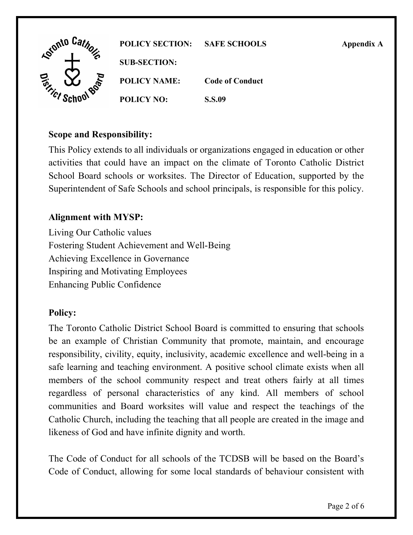

### **Scope and Responsibility:**

 This Policy extends to all individuals or organizations engaged in education or other activities that could have an impact on the climate of Toronto Catholic District School Board schools or worksites. The Director of Education, supported by the Superintendent of Safe Schools and school principals, is responsible for this policy.

## **Alignment with MYSP:**

 Living Our Catholic values Enhancing Public Confidence Fostering Student Achievement and Well-Being Achieving Excellence in Governance Inspiring and Motivating Employees

### **Policy:**

 The Toronto Catholic District School Board is committed to ensuring that schools be an example of Christian Community that promote, maintain, and encourage responsibility, civility, equity, inclusivity, academic excellence and well-being in a safe learning and teaching environment. A positive school climate exists when all members of the school community respect and treat others fairly at all times regardless of personal characteristics of any kind. All members of school communities and Board worksites will value and respect the teachings of the Catholic Church, including the teaching that all people are created in the image and likeness of God and have infinite dignity and worth.

 The Code of Conduct for all schools of the TCDSB will be based on the Board's Code of Conduct, allowing for some local standards of behaviour consistent with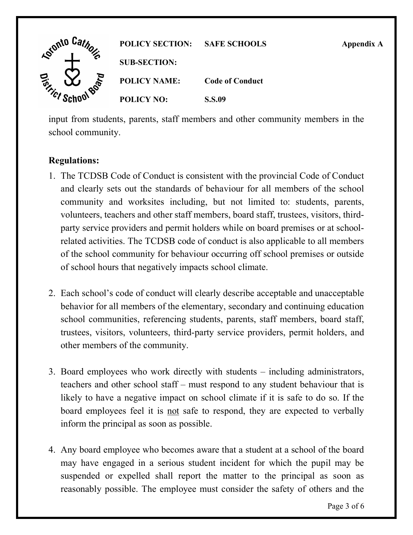

 input from students, parents, staff members and other community members in the school community.

## **Regulations:**

- 1. The TCDSB Code of Conduct is consistent with the provincial Code of Conduct and clearly sets out the standards of behaviour for all members of the school community and worksites including, but not limited to: students, parents, volunteers, teachers and other staff members, board staff, trustees, visitors, third- party service providers and permit holders while on board premises or at school- related activities. The TCDSB code of conduct is also applicable to all members of the school community for behaviour occurring off school premises or outside of school hours that negatively impacts school climate.
- 2. Each school's code of conduct will clearly describe acceptable and unacceptable behavior for all members of the elementary, secondary and continuing education school communities, referencing students, parents, staff members, board staff, trustees, visitors, volunteers, third-party service providers, permit holders, and other members of the community.
- 3. Board employees who work directly with students including administrators, teachers and other school staff – must respond to any student behaviour that is likely to have a negative impact on school climate if it is safe to do so. If the board employees feel it is not safe to respond, they are expected to verbally inform the principal as soon as possible.
- 4. Any board employee who becomes aware that a student at a school of the board may have engaged in a serious student incident for which the pupil may be suspended or expelled shall report the matter to the principal as soon as reasonably possible. The employee must consider the safety of others and the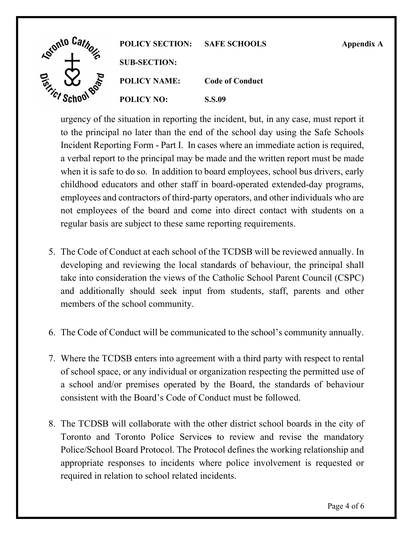

 urgency of the situation in reporting the incident, but, in any case, must report it to the principal no later than the end of the school day using the Safe Schools Incident Reporting Form - Part I. In cases where an immediate action is required, a verbal report to the principal may be made and the written report must be made when it is safe to do so. In addition to board employees, school bus drivers, early childhood educators and other staff in board-operated extended-day programs, employees and contractors of third-party operators, and other individuals who are not employees of the board and come into direct contact with students on a regular basis are subject to these same reporting requirements.

- 5. The Code of Conduct at each school of the TCDSB will be reviewed annually. In developing and reviewing the local standards of behaviour, the principal shall take into consideration the views of the Catholic School Parent Council (CSPC) and additionally should seek input from students, staff, parents and other members of the school community.
- 6. The Code of Conduct will be communicated to the school's community annually.
- 7. Where the TCDSB enters into agreement with a third party with respect to rental of school space, or any individual or organization respecting the permitted use of a school and/or premises operated by the Board, the standards of behaviour consistent with the Board's Code of Conduct must be followed.
- 8. The TCDSB will collaborate with the other district school boards in the city of Toronto and Toronto Police Services to review and revise the mandatory Police/School Board Protocol. The Protocol defines the working relationship and appropriate responses to incidents where police involvement is requested or required in relation to school related incidents.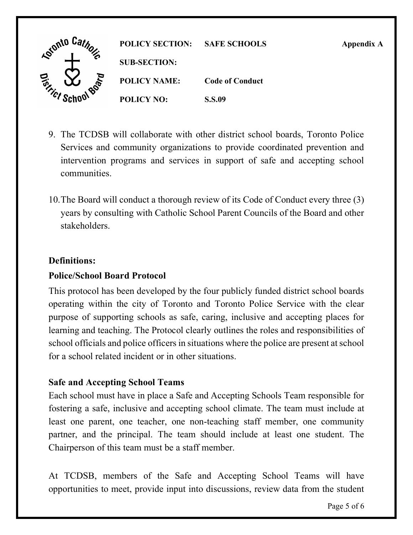

- 9. The TCDSB will collaborate with other district school boards, Toronto Police Services and community organizations to provide coordinated prevention and intervention programs and services in support of safe and accepting school communities.
- 10.The Board will conduct a thorough review of its Code of Conduct every three (3) years by consulting with Catholic School Parent Councils of the Board and other stakeholders.

## **Definitions:**

### **Police/School Board Protocol**

 This protocol has been developed by the four publicly funded district school boards operating within the city of Toronto and Toronto Police Service with the clear purpose of supporting schools as safe, caring, inclusive and accepting places for learning and teaching. The Protocol clearly outlines the roles and responsibilities of school officials and police officers in situations where the police are present at school for a school related incident or in other situations.

### **Safe and Accepting School Teams**

 Each school must have in place a Safe and Accepting Schools Team responsible for fostering a safe, inclusive and accepting school climate. The team must include at least one parent, one teacher, one non-teaching staff member, one community partner, and the principal. The team should include at least one student. The Chairperson of this team must be a staff member.

 At TCDSB, members of the Safe and Accepting School Teams will have opportunities to meet, provide input into discussions, review data from the student